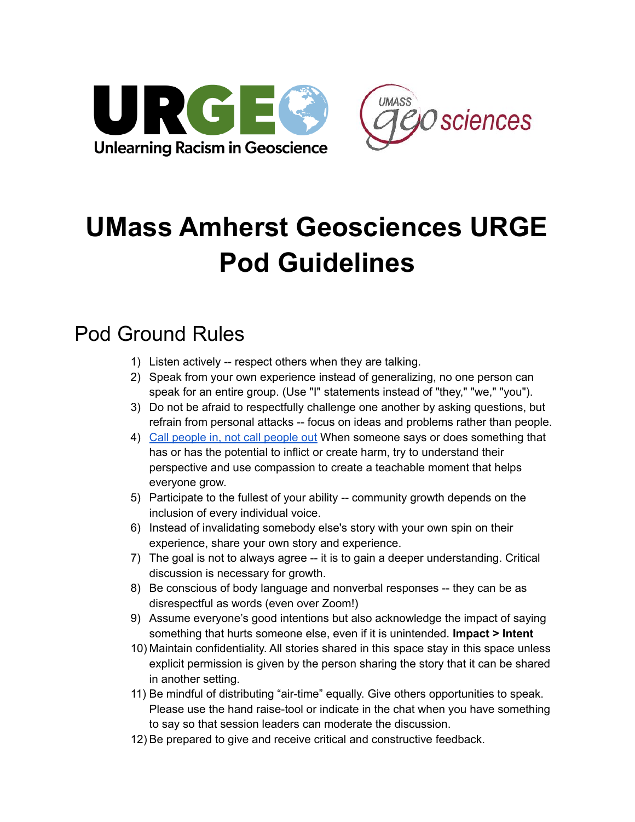



## **UMass Amherst Geosciences URGE Pod Guidelines**

## Pod Ground Rules

- 1) Listen actively -- respect others when they are talking.
- 2) Speak from your own experience instead of generalizing, no one person can speak for an entire group. (Use "I" statements instead of "they," "we," "you").
- 3) Do not be afraid to respectfully challenge one another by asking questions, but refrain from personal attacks -- focus on ideas and problems rather than people.
- 4) Call [people](http://www.racialequityvtnea.org/wp-content/uploads/2018/09/Interrupting-Bias_-Calling-Out-vs.-Calling-In-REVISED-Aug-2018-1.pdf) in, not call people out When someone says or does something that has or has the potential to inflict or create harm, try to understand their perspective and use compassion to create a teachable moment that helps everyone grow.
- 5) Participate to the fullest of your ability -- community growth depends on the inclusion of every individual voice.
- 6) Instead of invalidating somebody else's story with your own spin on their experience, share your own story and experience.
- 7) The goal is not to always agree -- it is to gain a deeper understanding. Critical discussion is necessary for growth.
- 8) Be conscious of body language and nonverbal responses -- they can be as disrespectful as words (even over Zoom!)
- 9) Assume everyone's good intentions but also acknowledge the impact of saying something that hurts someone else, even if it is unintended. **Impact > Intent**
- 10) Maintain confidentiality. All stories shared in this space stay in this space unless explicit permission is given by the person sharing the story that it can be shared in another setting.
- 11) Be mindful of distributing "air-time" equally. Give others opportunities to speak. Please use the hand raise-tool or indicate in the chat when you have something to say so that session leaders can moderate the discussion.
- 12) Be prepared to give and receive critical and constructive feedback.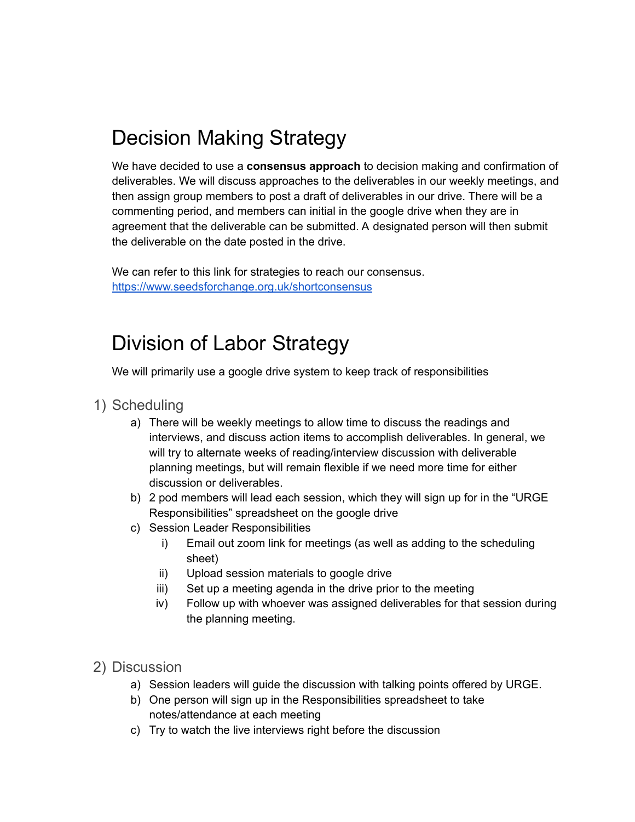## Decision Making Strategy

We have decided to use a **consensus approach** to decision making and confirmation of deliverables. We will discuss approaches to the deliverables in our weekly meetings, and then assign group members to post a draft of deliverables in our drive. There will be a commenting period, and members can initial in the google drive when they are in agreement that the deliverable can be submitted. A designated person will then submit the deliverable on the date posted in the drive.

We can refer to this link for strategies to reach our consensus. <https://www.seedsforchange.org.uk/shortconsensus>

## Division of Labor Strategy

We will primarily use a google drive system to keep track of responsibilities

- 1) Scheduling
	- a) There will be weekly meetings to allow time to discuss the readings and interviews, and discuss action items to accomplish deliverables. In general, we will try to alternate weeks of reading/interview discussion with deliverable planning meetings, but will remain flexible if we need more time for either discussion or deliverables.
	- b) 2 pod members will lead each session, which they will sign up for in the "URGE Responsibilities" spreadsheet on the google drive
	- c) Session Leader Responsibilities
		- i) Email out zoom link for meetings (as well as adding to the scheduling sheet)
		- ii) Upload session materials to google drive
		- iii) Set up a meeting agenda in the drive prior to the meeting
		- iv) Follow up with whoever was assigned deliverables for that session during the planning meeting.
- 2) Discussion
	- a) Session leaders will guide the discussion with talking points offered by URGE.
	- b) One person will sign up in the Responsibilities spreadsheet to take notes/attendance at each meeting
	- c) Try to watch the live interviews right before the discussion